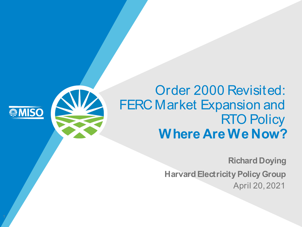# Order 2000 Revisited: FERC Market Expansion and **RTO Policy Where Are We Now?**

**MISO** 

**Richard Doying**

**Harvard Electricity Policy Group** April 20, 2021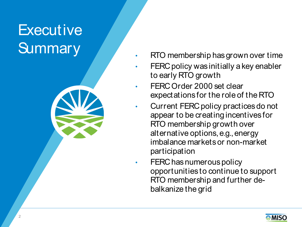# **Executive Summary**



- FERC policy was initially a key enabler to early RTO growth
- FERC Order 2000 set clear expectations for the role of the RTO
- Current FERC policy practices do not appear to be creating incentives for RTO membership growth over alternative options, e.g., energy imbalance markets or non-market participation
- FERC has numerous policy opportunities to continue to support RTO membership and further debalkanize the grid

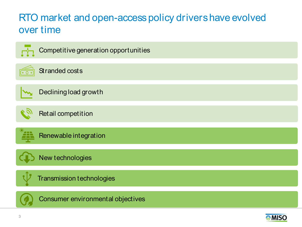## RTO market and open-access policy drivers have evolved over time

| Competitive generation opportunities |
|--------------------------------------|
| Stranded costs                       |
| Declining load growth                |
| Retail competition                   |
| Renewable integration                |
| New technologies                     |
| <b>Transmission technologies</b>     |
| Consumer environmental objectives    |

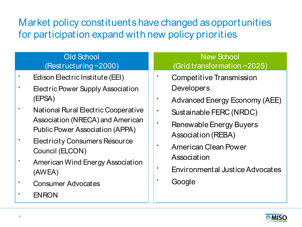Market policy constituents have changed as opportunities for participation expand with new policy priorities

### Old School (Restructuring ~2000)

- Edison Electric Institute (EEI)
- Electric Power Supply Association (EPSA)
- National Rural Electric Cooperative Association (NRECA) and American Public Power Association (APPA)
- Electricity Consumers Resource Council (ELCON)
- American Wind Energy Association (AWEA)
- Consumer Advocates
- ENRON

### New School (Grid transformation ~2025)

- Competitive Transmission **Developers**
- Advanced Energy Economy (AEE)
- Sustainable FERC (NRDC)
- Renewable Energy Buyers Association (REBA)
- American Clean Power **Association**
- Environmental Justice Advocates
- Google

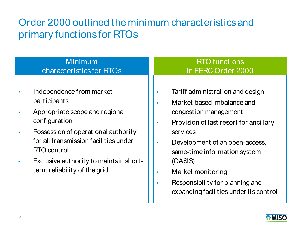## Order 2000 outlined the minimum characteristics and primary functions for RTOs

| <b>Minimum</b>                                                                                                                                                                                                                                                                           | <b>RTO</b> functions                                                                                                                                                                                                                                                                                                                                |
|------------------------------------------------------------------------------------------------------------------------------------------------------------------------------------------------------------------------------------------------------------------------------------------|-----------------------------------------------------------------------------------------------------------------------------------------------------------------------------------------------------------------------------------------------------------------------------------------------------------------------------------------------------|
| characteristics for RTOs                                                                                                                                                                                                                                                                 | in FERC Order 2000                                                                                                                                                                                                                                                                                                                                  |
| Independence from market<br>participants<br>Appropriate scope and regional<br>$\bullet$<br>configuration<br>Possession of operational authority<br>for all transmission facilities under<br><b>RTO</b> control<br>Exclusive authority to maintain short-<br>term reliability of the grid | Tariff administration and design<br>$\bullet$<br>Market based imbalance and<br>$\bullet$<br>congestion management<br>Provision of last resort for ancillary<br>$\bullet$<br>services<br>Development of an open-access,<br>$\bullet$<br>same-time information system<br>(OASIS)<br>Market monitoring<br>$\bullet$<br>Responsibility for planning and |



expanding facilities under its control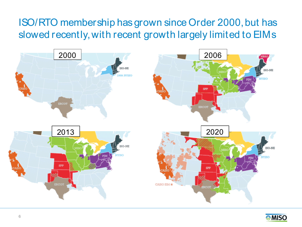## ISO/RTO membership has grown since Order 2000, but has slowed recently, with recent growth largely limited to EIMs



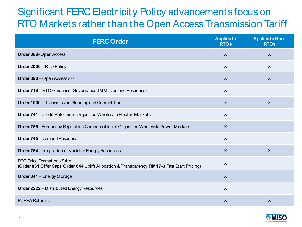## Significant FERC Electricity Policy advancements focus on RTO Markets rather than the Open Access Transmission Tariff

| <b>FERC Order</b>                                                                                                                   | <b>Appliesto</b><br><b>RTOs</b> | <b>Appliesto Non-</b><br><b>RTOs</b> |
|-------------------------------------------------------------------------------------------------------------------------------------|---------------------------------|--------------------------------------|
| Order 888-Open Access                                                                                                               | $\boldsymbol{\mathsf{X}}$       | $\overline{\mathsf{X}}$              |
| Order 2000 - RTO Policy                                                                                                             | X                               | X                                    |
| Order 890 - Open Access 2.0                                                                                                         | $\overline{X}$                  | $\overline{X}$                       |
| <b>Order 719</b> – RTO Guidance (Governance, IMM, Demand Response)                                                                  | X                               |                                      |
| <b>Order 1000</b> - Transmission Planning and Competition                                                                           | $\mathsf{X}$                    | $\sf X$                              |
| Order 741 - Credit Reforms in Organized Wholesale Electric Markets                                                                  | X                               |                                      |
| Order 755 - Frequency Regulation Compensation in Organized Wholesale Power Markets                                                  | $\boldsymbol{\mathsf{X}}$       |                                      |
| <b>Order 745 - Demand Response</b>                                                                                                  | $\boldsymbol{\mathsf{X}}$       |                                      |
| Order 764 - Integration of Variable Energy Resources                                                                                | $\overline{X}$                  | $\overline{\mathsf{X}}$              |
| <b>RTO Price Formations Suite</b><br>(Order 831 Offer Caps, Order 844 Uplift Allocation & Transparency, RM 17-3 Fast Start Pricing) | $\sf X$                         |                                      |
| Order 841 - Energy Storage                                                                                                          | $\mathsf{X}$                    |                                      |
| <b>Order 2222</b> - Distributed Energy Resources                                                                                    | $\sf X$                         |                                      |
| <b>PURPA Reforms</b>                                                                                                                | $\sf X$                         | $\overline{\mathsf{X}}$              |

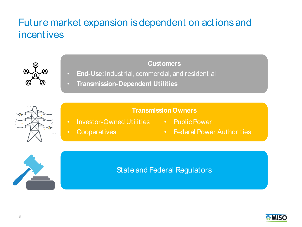## Future market expansion is dependent on actions and incentives



### **Customers**

- **End-Use:**industrial, commercial, and residential
- **Transmission-Dependent Utilities**

### **Transmission Owners**

- Investor-Owned Utilities Public Power
- 

• Cooperatives

• Federal Power Authorities



### State and Federal Regulators

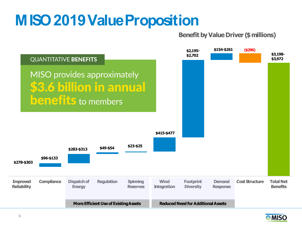# **MISO2019ValueProposition**

### **Benefit by Value Driver (\$ millions)**



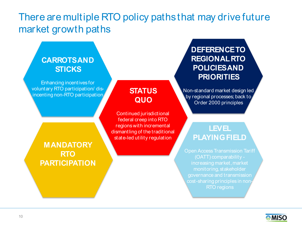## There are multiple RTO policy paths that may drive future market growth paths

### **CARROTS AND CARROTS AND STICKS: STICKS**  Enhancing incentives for voluntary RTO participation/ disincenting non-RTO incenting non-RTO participation **STATUS QUO**  Continued jurisdictional federal creep into RTO regions with incremental dismantling of the traditional state-led utility regulation **LEVEL PLAYING FIELD** Open Access Transmission Tariff (OATT) comparability monitoring, stakeholder governance and transmission **MANDATORY RTO PARTICIPATION DEFERENCE TO REGIONAL RTO POLICIES AND PRIORITIES** Non-standard market design led by regional processes; back to Order 2000 principles

**MISC** 

RTO regions